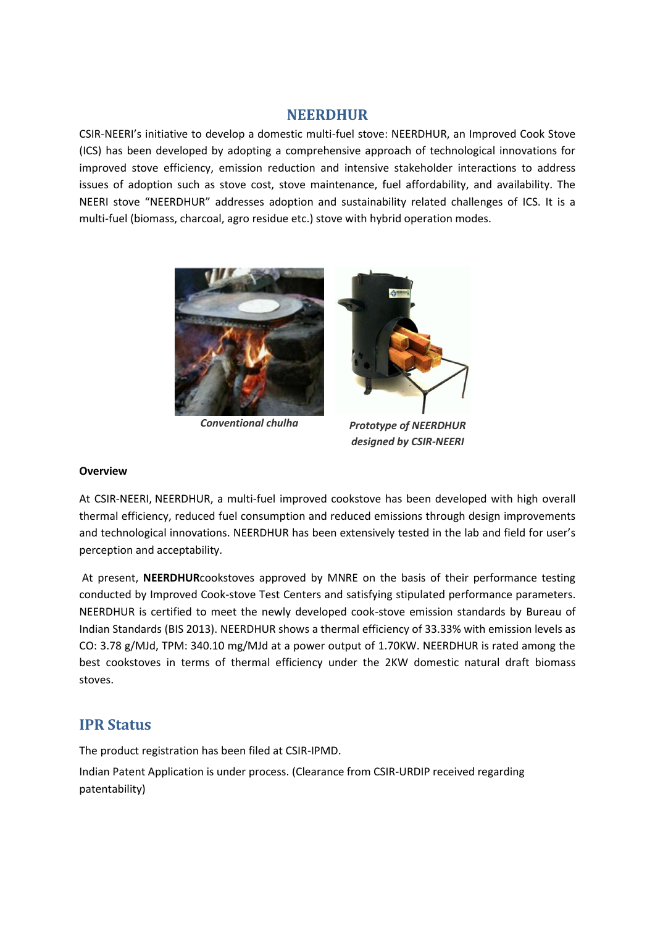#### **NEERDHUR**

 CSIR-NEERI's initiative to develop a domestic multi-fuel stove: NEERDHUR, an Improved Cook Stove (ICS) has been developed by adopting a comprehensive approach of technological innovations for improved stove efficiency, emission reduction and intensive stakeholder interactions to address issues of adoption such as stove cost, stove maintenance, fuel affordability, and availability. The NEERI stove "NEERDHUR" addresses adoption and sustainability related challenges of ICS. It is a multi-fuel (biomass, charcoal, agro residue etc.) stove with hybrid operation modes.



*Conventional chulha Prototype of NEERDHUR designed by CSIR-NEERI* 

#### **Overview**

 At CSIR-NEERI, NEERDHUR, a multi-fuel improved cookstove has been developed with high overall thermal efficiency, reduced fuel consumption and reduced emissions through design improvements and technological innovations. NEERDHUR has been extensively tested in the lab and field for user's perception and acceptability.

 At present, **NEERDHUR**cookstoves approved by MNRE on the basis of their performance testing conducted by Improved Cook-stove Test Centers and satisfying stipulated performance parameters. NEERDHUR is certified to meet the newly developed cook-stove emission standards by Bureau of CO: 3.78 g/MJd, TPM: 340.10 mg/MJd at a power output of 1.70KW. NEERDHUR is rated among the best cookstoves in terms of thermal efficiency under the 2KW domestic natural draft biomass Indian Standards (BIS 2013). NEERDHUR shows a thermal efficiency of 33.33% with emission levels as stoves.

## **IPR Status**

The product registration has been filed at CSIR-IPMD.

Indian Patent Application is under process. (Clearance from CSIR-URDIP received regarding patentability)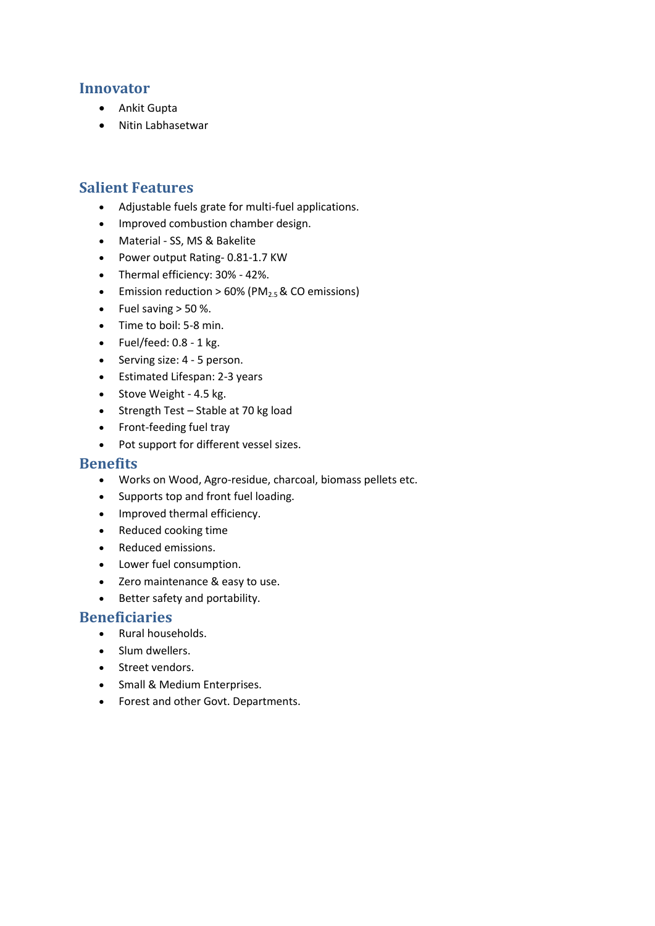### **Innovator**

- Ankit Gupta
- Nitin Labhasetwar

### **Salient Features**

- Adjustable fuels grate for multi-fuel applications.
- Improved combustion chamber design.
- Material SS, MS & Bakelite
- Power output Rating- 0.81-1.7 KW
- Thermal efficiency: 30% 42%.
- **Emission reduction > 60% (PM** $_{2.5}$  & CO emissions)
- Fuel saving  $>$  50 %.
- Time to boil: 5-8 min.
- $\bullet$  Fuel/feed: 0.8 1 kg.
- Serving size: 4 5 person.
- Estimated Lifespan: 2-3 years
- Stove Weight 4.5 kg.
- Strength Test Stable at 70 kg load
- Front-feeding fuel tray
- Pot support for different vessel sizes.

#### **Benefits**

- Works on Wood, Agro-residue, charcoal, biomass pellets etc.
- Supports top and front fuel loading.
- Improved thermal efficiency.
- Reduced cooking time
- Reduced emissions.
- Lower fuel consumption.
- Zero maintenance & easy to use.
- Better safety and portability.

#### **Beneficiaries**

- Rural households.
- Slum dwellers.
- Street vendors.
- Small & Medium Enterprises.
- Forest and other Govt. Departments.